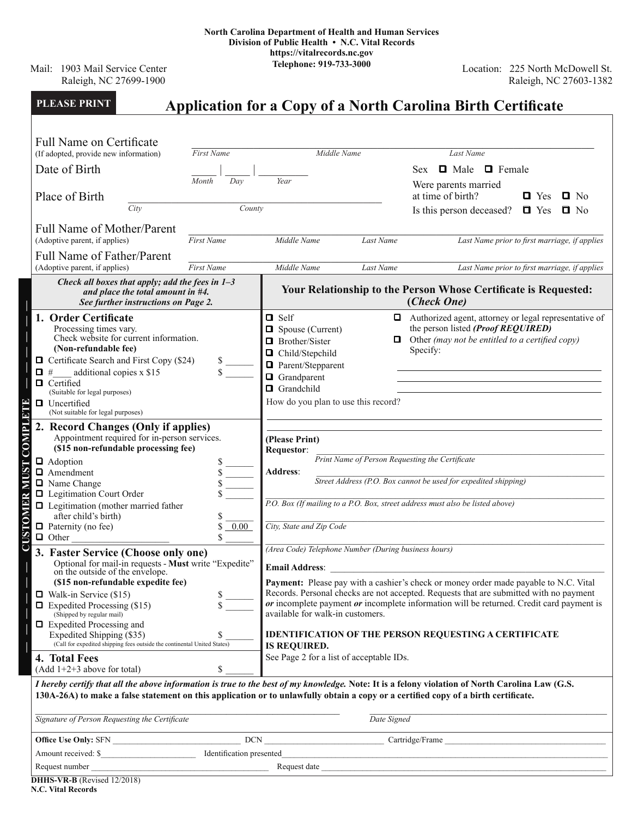Mail: 1903 Mail Service Center Raleigh, NC 27699-1900

Location: 225 North McDowell St. Raleigh, NC 27603-1382

| <b>PLEASE PRINT</b><br><b>Application for a Copy of a North Carolina Birth Certificate</b>                                                                                                                                                                                                                                                                                                                                                                                                |                                                                                                                                                                                                                                                                                                                                                                                                                                                                                                                                                                                                                                                                                                                                                                                    |                                                                                                                                                                                                                       |
|-------------------------------------------------------------------------------------------------------------------------------------------------------------------------------------------------------------------------------------------------------------------------------------------------------------------------------------------------------------------------------------------------------------------------------------------------------------------------------------------|------------------------------------------------------------------------------------------------------------------------------------------------------------------------------------------------------------------------------------------------------------------------------------------------------------------------------------------------------------------------------------------------------------------------------------------------------------------------------------------------------------------------------------------------------------------------------------------------------------------------------------------------------------------------------------------------------------------------------------------------------------------------------------|-----------------------------------------------------------------------------------------------------------------------------------------------------------------------------------------------------------------------|
| <b>Full Name on Certificate</b><br>First Name<br>(If adopted, provide new information)<br>Date of Birth<br>Day<br>Month<br>Place of Birth<br>City<br>County<br><b>Full Name of Mother/Parent</b><br>(Adoptive parent, if applies)<br>First Name                                                                                                                                                                                                                                           | Middle Name<br><b>Sex</b><br>Year<br>at time of birth?<br>Middle Name<br>Last Name                                                                                                                                                                                                                                                                                                                                                                                                                                                                                                                                                                                                                                                                                                 | Last Name<br><b>O</b> Male <b>O</b> Female<br>Were parents married<br>$\Box$ No<br>$\Box$ Yes<br>Is this person deceased?<br>$\blacksquare$ No<br>$\blacksquare$ Yes<br>Last Name prior to first marriage, if applies |
| <b>Full Name of Father/Parent</b>                                                                                                                                                                                                                                                                                                                                                                                                                                                         |                                                                                                                                                                                                                                                                                                                                                                                                                                                                                                                                                                                                                                                                                                                                                                                    |                                                                                                                                                                                                                       |
| (Adoptive parent, if applies)<br><b>First Name</b><br>Middle Name<br>Last Name<br>Last Name prior to first marriage, if applies<br>Check all boxes that apply; add the fees in $1-3$<br>Your Relationship to the Person Whose Certificate is Requested:<br>and place the total amount in #4.<br>(Check One)<br>See further instructions on Page 2.                                                                                                                                        |                                                                                                                                                                                                                                                                                                                                                                                                                                                                                                                                                                                                                                                                                                                                                                                    |                                                                                                                                                                                                                       |
| 1. Order Certificate<br>Processing times vary.<br>Check website for current information.<br>(Non-refundable fee)<br>$\Box$ Certificate Search and First Copy (\$24)<br>additional copies x \$15<br>О<br>#<br>ם<br>Certified<br>(Suitable for legal purposes)<br>$\Box$ Uncertified<br>(Not suitable for legal purposes)                                                                                                                                                                   | $\Box$ Self<br>$\Box$ Spouse (Current)<br>O.<br>□ Brother/Sister<br>Specify:<br>□ Child/Stepchild<br><b>Q</b> Parent/Stepparent<br>Grandparent<br>Grandchild<br>How do you plan to use this record?                                                                                                                                                                                                                                                                                                                                                                                                                                                                                                                                                                                | Authorized agent, attorney or legal representative of<br>the person listed (Proof REQUIRED)<br>Other (may not be entitled to a certified copy)                                                                        |
| <b>CUSTOMER MUST COMPLETE</b><br>2. Record Changes (Only if applies)<br>Appointment required for in-person services.<br>(\$15 non-refundable processing fee)<br>Adoption<br>$\Box$ Amendment<br>Name Change<br><b>Q</b> Legitimation Court Order<br>$\Box$ Legitimation (mother married father<br>after child's birth)<br>$\Box$ Paternity (no fee)<br>$0.00\,$<br>$\Box$ Other                                                                                                           | (Please Print)<br>Requestor:<br>Print Name of Person Requesting the Certificate<br><b>Address:</b><br>Street Address (P.O. Box cannot be used for expedited shipping)<br>P.O. Box (If mailing to a P.O. Box, street address must also be listed above)<br>City, State and Zip Code                                                                                                                                                                                                                                                                                                                                                                                                                                                                                                 |                                                                                                                                                                                                                       |
| 3. Faster Service (Choose only one)<br>Optional for mail-in requests - Must write "Expedite"<br>on the outside of the envelope.<br>(\$15 non-refundable expedite fee)<br>$\Box$ Walk-in Service (\$15)<br>\$<br>$\Box$ Expedited Processing (\$15)<br>(Shipped by regular mail)<br>$\Box$ Expedited Processing and<br>Expedited Shipping (\$35)<br>\$<br>(Call for expedited shipping fees outside the continental United States)<br>4. Total Fees<br>$(Add 1+2+3 above for total)$<br>\$ | (Area Code) Telephone Number (During business hours)<br><b>Email Address:</b> The contract of the contract of the contract of the contract of the contract of the contract of the contract of the contract of the contract of the contract of the contract of the contract of the contract<br>Payment: Please pay with a cashier's check or money order made payable to N.C. Vital<br>Records. Personal checks are not accepted. Requests that are submitted with no payment<br>$or incomplete payment or incomplete information will be returned. Credit card payment is\n\n\sum_{n=1}^{\infty} a_n = a_n$<br>available for walk-in customers.<br><b>IDENTIFICATION OF THE PERSON REQUESTING A CERTIFICATE</b><br><b>IS REQUIRED.</b><br>See Page 2 for a list of acceptable IDs. |                                                                                                                                                                                                                       |
| I hereby certify that all the above information is true to the best of my knowledge. Note: It is a felony violation of North Carolina Law (G.S.<br>130A-26A) to make a false statement on this application or to unlawfully obtain a copy or a certified copy of a birth certificate.<br>Signature of Person Requesting the Certificate                                                                                                                                                   | Date Signed                                                                                                                                                                                                                                                                                                                                                                                                                                                                                                                                                                                                                                                                                                                                                                        |                                                                                                                                                                                                                       |
| Amount received: \$<br>DHHS-VR-B (Revised $12/2018$ )                                                                                                                                                                                                                                                                                                                                                                                                                                     |                                                                                                                                                                                                                                                                                                                                                                                                                                                                                                                                                                                                                                                                                                                                                                                    |                                                                                                                                                                                                                       |

**N.C. Vital Records**